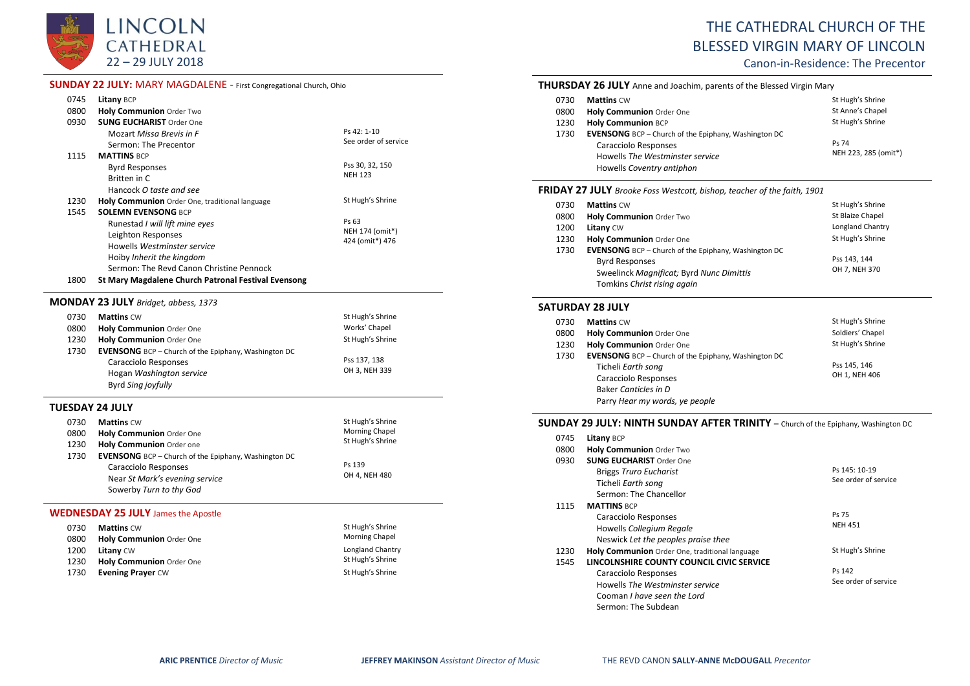

### **SUNDAY 22 JULY:** MARY MAGDALENE - First Congregational Church, Ohio

| 0745 | <b>Litany BCP</b>                                   |                      |
|------|-----------------------------------------------------|----------------------|
| 0800 | <b>Holy Communion Order Two</b>                     |                      |
| 0930 | <b>SUNG EUCHARIST Order One</b>                     |                      |
|      | Mozart Missa Brevis in F                            | P S 42.110           |
|      | Sermon: The Precentor                               | See order of service |
| 1115 | <b>MATTINS BCP</b>                                  |                      |
|      | <b>Byrd Responses</b>                               | Pss 30, 32, 150      |
|      | Britten in C                                        | <b>NFH 123</b>       |
|      | Hancock O taste and see                             |                      |
| 1230 | Holy Communion Order One, traditional language      | St Hugh's Shrine     |
| 1545 | <b>SOLEMN EVENSONG BCP</b>                          |                      |
|      | Runestad I will lift mine eyes                      | Ps 63                |
|      | Leighton Responses                                  | NEH 174 (omit*)      |
|      | Howells Westminster service                         | 424 (omit*) 476      |
|      | Hoiby Inherit the kingdom                           |                      |
|      | Sermon: The Revd Canon Christine Pennock            |                      |
| 1800 | St Mary Magdalene Church Patronal Festival Evensong |                      |
|      |                                                     |                      |

#### **MONDAY 23 JULY** *Bridget, abbess, 1373*

| 0730 | <b>Mattins CW</b>                                           | St Hugh's Shrine |
|------|-------------------------------------------------------------|------------------|
| 0800 | <b>Holy Communion Order One</b>                             | Works' Chapel    |
| 1230 | Holy Communion Order One                                    | St Hugh's Shrine |
| 1730 | <b>EVENSONG</b> BCP – Church of the Epiphany, Washington DC |                  |
|      | Caracciolo Responses                                        | Pss 137, 138     |
|      | Hogan Washington service                                    | OH 3, NEH 339    |
|      | Byrd Sing joyfully                                          |                  |

### **TUESDAY 24 JULY**

| 0730<br>0800 | <b>Mattins CW</b><br>Holy Communion Order One                                                                                                    | St Hugh's Shrine<br><b>Morning Chapel</b> |
|--------------|--------------------------------------------------------------------------------------------------------------------------------------------------|-------------------------------------------|
| 1230         | Holy Communion Order one                                                                                                                         | St Hugh's Shrine                          |
| 1730         | <b>EVENSONG</b> BCP – Church of the Epiphany, Washington DC<br>Caracciolo Responses<br>Near St Mark's evening service<br>Sowerby Turn to thy God | Ps 139<br>OH 4, NEH 480                   |

### **WEDNESDAY 25 JULY** James the Apostle

| 0730 | <b>Mattins CW</b>               | St Hugh's Shrine      |
|------|---------------------------------|-----------------------|
| 0800 | <b>Holy Communion Order One</b> | <b>Morning Chapel</b> |
| 1200 | <b>Litany CW</b>                | Longland Chantry      |
| 1230 | <b>Holy Communion</b> Order One | St Hugh's Shrine      |
| 1730 | <b>Evening Prayer CW</b>        | St Hugh's Shrine      |

# THE CATHEDRAL CHURCH OF THE BLESSED VIRGIN MARY OF LINCOLN

Canon-in-Residence: The Precentor

|      | <b>THURSDAY 26 JULY</b> Anne and Joachim, parents of the Blessed Virgin Mary |                      |
|------|------------------------------------------------------------------------------|----------------------|
| 0730 | <b>Mattins CW</b>                                                            | St Hugh's Shrine     |
| 0800 | Holy Communion Order One                                                     | St Anne's Chapel     |
| 1230 | <b>Holy Communion BCP</b>                                                    | St Hugh's Shrine     |
| 1730 | <b>EVENSONG</b> BCP – Church of the Epiphany, Washington DC                  |                      |
|      | Caracciolo Responses                                                         | Ps 74                |
|      | Howells The Westminster service                                              | NEH 223, 285 (omit*) |
|      | Howells Coventry antiphon                                                    |                      |

#### **FRIDAY 27 JULY** *Brooke Foss Westcott, bishop, teacher of the faith, 1901*

| 0730 | <b>Mattins CW</b>                                           | St Hugh's Shrine |
|------|-------------------------------------------------------------|------------------|
| 0800 | Holy Communion Order Two                                    | St Blaize Chapel |
| 1200 | Litany CW                                                   | Longland Chantry |
| 1230 | <b>Holy Communion Order One</b>                             | St Hugh's Shrine |
| 1730 | <b>EVENSONG</b> BCP – Church of the Epiphany, Washington DC |                  |
|      | <b>Byrd Responses</b>                                       | Pss 143.144      |
|      | Sweelinck Magnificat; Byrd Nunc Dimittis                    | OH 7, NEH 370    |
|      | Tomkins Christ rising again                                 |                  |

#### **SATURDAY 28 JULY**

| St Hugh's Shrine |
|------------------|
| Soldiers' Chapel |
| St Hugh's Shrine |
|                  |
| Pss 145, 146     |
| OH 1, NEH 406    |
|                  |
|                  |
|                  |

#### **SUNDAY 29 JULY: NINTH SUNDAY AFTER TRINITY** – Church of the Epiphany, Washington DC

| 0745 | Litany BCP                                     |                      |
|------|------------------------------------------------|----------------------|
| 0800 | <b>Holy Communion Order Two</b>                |                      |
| 0930 | <b>SUNG EUCHARIST Order One</b>                |                      |
|      | <b>Briggs Truro Eucharist</b>                  | Ps 145: 10-19        |
|      | Ticheli Earth song                             | See order of service |
|      | Sermon: The Chancellor                         |                      |
| 1115 | <b>MATTINS BCP</b>                             |                      |
|      | Caracciolo Responses                           | Ps 75                |
|      | Howells Collegium Regale                       | <b>NEH 451</b>       |
|      | Neswick Let the peoples praise thee            |                      |
| 1230 | Holy Communion Order One, traditional language | St Hugh's Shrine     |
| 1545 | LINCOLNSHIRE COUNTY COUNCIL CIVIC SERVICE      |                      |
|      | Caracciolo Responses                           | Ps 142               |
|      | Howells The Westminster service                | See order of service |
|      | Cooman I have seen the Lord                    |                      |
|      | Sermon: The Subdean                            |                      |